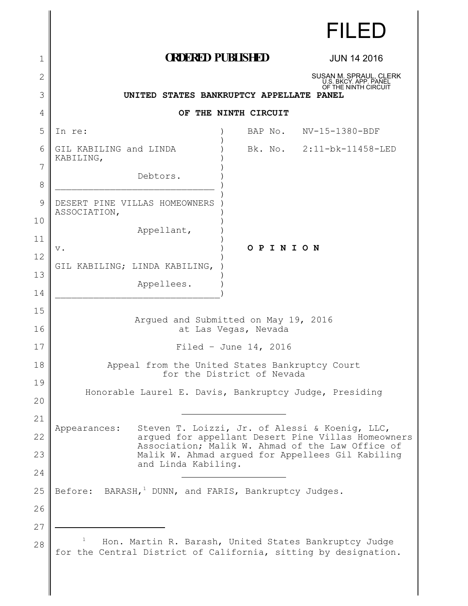|              |                                                                                                                          |                                                        | FILED                                                                                                |  |
|--------------|--------------------------------------------------------------------------------------------------------------------------|--------------------------------------------------------|------------------------------------------------------------------------------------------------------|--|
| 1            | <b>ORDERED PUBLISHED</b>                                                                                                 |                                                        | <b>JUN 14 2016</b>                                                                                   |  |
| $\mathbf{2}$ |                                                                                                                          |                                                        | SUSAN M. SPRAUL, CLERK<br>U.S. BKCY. APP. PANEL                                                      |  |
| 3            | UNITED STATES BANKRUPTCY APPELLATE PANEL                                                                                 |                                                        | OF THE NINTH CIRCUIT                                                                                 |  |
| 4            | OF THE NINTH CIRCUIT                                                                                                     |                                                        |                                                                                                      |  |
| 5            | In re:                                                                                                                   |                                                        | BAP No. NV-15-1380-BDF                                                                               |  |
| 6            | GIL KABILING and LINDA<br>KABILING,                                                                                      |                                                        | Bk. No. 2:11-bk-11458-LED                                                                            |  |
| 7            | Debtors.                                                                                                                 |                                                        |                                                                                                      |  |
| 8            |                                                                                                                          |                                                        |                                                                                                      |  |
| 9            | DESERT PINE VILLAS HOMEOWNERS<br>ASSOCIATION,                                                                            |                                                        |                                                                                                      |  |
| 10           | Appellant,                                                                                                               |                                                        |                                                                                                      |  |
| 11           | $\mathbf v$ .                                                                                                            | OPINION                                                |                                                                                                      |  |
| 12           | GIL KABILING; LINDA KABILING,                                                                                            |                                                        |                                                                                                      |  |
| 13           | Appellees.                                                                                                               |                                                        |                                                                                                      |  |
| 14           |                                                                                                                          |                                                        |                                                                                                      |  |
| 15<br>16     | Arqued and Submitted on May 19, 2016<br>at Las Vegas, Nevada                                                             |                                                        |                                                                                                      |  |
| 17           | Filed - June 14, 2016                                                                                                    |                                                        |                                                                                                      |  |
| 18           | Appeal from the United States Bankruptcy Court                                                                           |                                                        |                                                                                                      |  |
| 19           | for the District of Nevada                                                                                               |                                                        |                                                                                                      |  |
| 20           |                                                                                                                          | Honorable Laurel E. Davis, Bankruptcy Judge, Presiding |                                                                                                      |  |
| 21           |                                                                                                                          |                                                        |                                                                                                      |  |
| 22           | Appearances:                                                                                                             |                                                        | Steven T. Loizzi, Jr. of Alessi & Koenig, LLC,<br>argued for appellant Desert Pine Villas Homeowners |  |
| 23           |                                                                                                                          |                                                        | Association; Malik W. Ahmad of the Law Office of<br>Malik W. Ahmad argued for Appellees Gil Kabiling |  |
| 24           | and Linda Kabiling.                                                                                                      |                                                        |                                                                                                      |  |
| 25           | Before: BARASH, <sup>1</sup> DUNN, and FARIS, Bankruptcy Judges.                                                         |                                                        |                                                                                                      |  |
| 26           |                                                                                                                          |                                                        |                                                                                                      |  |
| 27           |                                                                                                                          |                                                        |                                                                                                      |  |
| 28           | Hon. Martin R. Barash, United States Bankruptcy Judge<br>for the Central District of California, sitting by designation. |                                                        |                                                                                                      |  |
|              |                                                                                                                          |                                                        |                                                                                                      |  |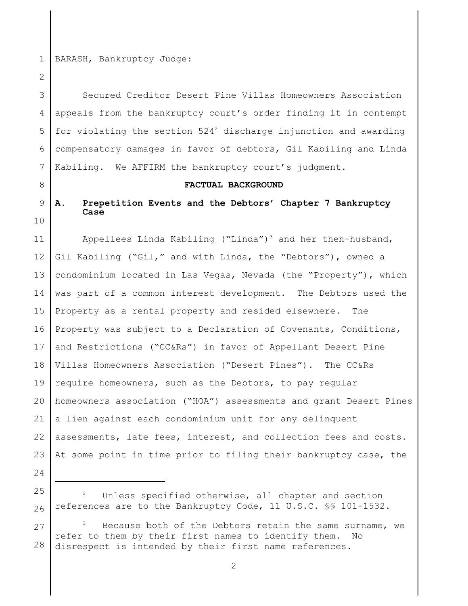1 BARASH, Bankruptcy Judge:

2

3 4 5 6 7 Secured Creditor Desert Pine Villas Homeowners Association appeals from the bankruptcy court's order finding it in contempt for violating the section  $524<sup>2</sup>$  discharge injunction and awarding compensatory damages in favor of debtors, Gil Kabiling and Linda Kabiling. We AFFIRM the bankruptcy court's judgment.

8

### **FACTUAL BACKGROUND**

#### 9 10 **A. Prepetition Events and the Debtors' Chapter 7 Bankruptcy Case**

11 12 13 14 15 16 17 18 19 20 21 22 23 Appellees Linda Kabiling ("Linda")<sup>3</sup> and her then-husband, Gil Kabiling ("Gil," and with Linda, the "Debtors"), owned a condominium located in Las Vegas, Nevada (the "Property"), which was part of a common interest development. The Debtors used the Property as a rental property and resided elsewhere. The Property was subject to a Declaration of Covenants, Conditions, and Restrictions ("CC&Rs") in favor of Appellant Desert Pine Villas Homeowners Association ("Desert Pines"). The CC&Rs require homeowners, such as the Debtors, to pay regular homeowners association ("HOA") assessments and grant Desert Pines a lien against each condominium unit for any delinquent assessments, late fees, interest, and collection fees and costs. At some point in time prior to filing their bankruptcy case, the

- 24
- 25

26

27 28 Because both of the Debtors retain the same surname, we refer to them by their first names to identify them. No disrespect is intended by their first name references.

<sup>&</sup>lt;sup>2</sup> Unless specified otherwise, all chapter and section references are to the Bankruptcy Code, 11 U.S.C. §§ 101-1532.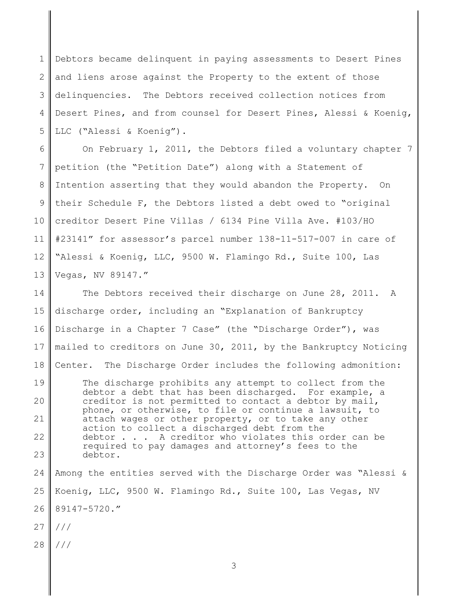1 2 3 4 5 Debtors became delinquent in paying assessments to Desert Pines and liens arose against the Property to the extent of those delinquencies. The Debtors received collection notices from Desert Pines, and from counsel for Desert Pines, Alessi & Koenig, LLC ("Alessi & Koenig").

6 7 8 9 10 11 12 13 On February 1, 2011, the Debtors filed a voluntary chapter 7 petition (the "Petition Date") along with a Statement of Intention asserting that they would abandon the Property. On their Schedule F, the Debtors listed a debt owed to "original creditor Desert Pine Villas / 6134 Pine Villa Ave. #103/HO #23141" for assessor's parcel number 138-11-517-007 in care of "Alessi & Koenig, LLC, 9500 W. Flamingo Rd., Suite 100, Las Vegas, NV 89147."

14 15 16 17 18 The Debtors received their discharge on June 28, 2011. A discharge order, including an "Explanation of Bankruptcy Discharge in a Chapter 7 Case" (the "Discharge Order"), was mailed to creditors on June 30, 2011, by the Bankruptcy Noticing Center. The Discharge Order includes the following admonition:

19 20 21 22 23 The discharge prohibits any attempt to collect from the debtor a debt that has been discharged. For example, a creditor is not permitted to contact a debtor by mail, phone, or otherwise, to file or continue a lawsuit, to attach wages or other property, or to take any other action to collect a discharged debt from the debtor . . . A creditor who violates this order can be required to pay damages and attorney's fees to the debtor.

24 25 26 Among the entities served with the Discharge Order was "Alessi & Koenig, LLC, 9500 W. Flamingo Rd., Suite 100, Las Vegas, NV 89147-5720."

27 ///

28 ///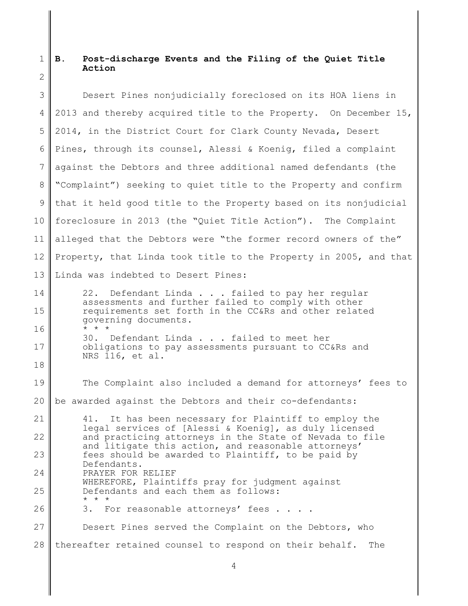#### $1 \parallel B$ . 2 **B. Post-discharge Events and the Filing of the Quiet Title Action**

| 3                 | Desert Pines nonjudicially foreclosed on its HOA liens in                                                      |  |  |  |
|-------------------|----------------------------------------------------------------------------------------------------------------|--|--|--|
| 4                 | 2013 and thereby acquired title to the Property. On December 15,                                               |  |  |  |
| 5                 | 2014, in the District Court for Clark County Nevada, Desert                                                    |  |  |  |
| 6                 | Pines, through its counsel, Alessi & Koenig, filed a complaint                                                 |  |  |  |
| 7                 | against the Debtors and three additional named defendants (the                                                 |  |  |  |
| 8                 | "Complaint") seeking to quiet title to the Property and confirm                                                |  |  |  |
| 9                 | that it held good title to the Property based on its nonjudicial                                               |  |  |  |
| 10 <sup>°</sup>   | foreclosure in 2013 (the "Quiet Title Action"). The Complaint                                                  |  |  |  |
| 11                | alleged that the Debtors were "the former record owners of the"                                                |  |  |  |
| $12 \overline{ }$ | Property, that Linda took title to the Property in 2005, and that                                              |  |  |  |
| 13                | Linda was indebted to Desert Pines:                                                                            |  |  |  |
| 14                | 22. Defendant Linda failed to pay her regular<br>assessments and further failed to comply with other           |  |  |  |
| 15                | requirements set forth in the CC&Rs and other related<br>governing documents.                                  |  |  |  |
| 16                | $\star$ $\star$ $\star$<br>30. Defendant Linda failed to meet her                                              |  |  |  |
| 17                | obligations to pay assessments pursuant to CC&Rs and<br>NRS 116, et al.                                        |  |  |  |
| 18                |                                                                                                                |  |  |  |
| 19                | The Complaint also included a demand for attorneys' fees to                                                    |  |  |  |
| 20                | be awarded against the Debtors and their co-defendants:                                                        |  |  |  |
| 21                | 41. It has been necessary for Plaintiff to employ the<br>legal services of [Alessi & Koenig], as duly licensed |  |  |  |
| 22                | and practicing attorneys in the State of Nevada to file<br>and litigate this action, and reasonable attorneys' |  |  |  |
| 23                | fees should be awarded to Plaintiff, to be paid by<br>Defendants.                                              |  |  |  |
| 24                | PRAYER FOR RELIEF<br>WHEREFORE, Plaintiffs pray for judgment against                                           |  |  |  |
| 25                | Defendants and each them as follows:<br>$\star$ $\star$ $\star$                                                |  |  |  |
| 26                | 3. For reasonable attorneys' fees                                                                              |  |  |  |
| 27                | Desert Pines served the Complaint on the Debtors, who                                                          |  |  |  |
| 28                | thereafter retained counsel to respond on their behalf.<br>The                                                 |  |  |  |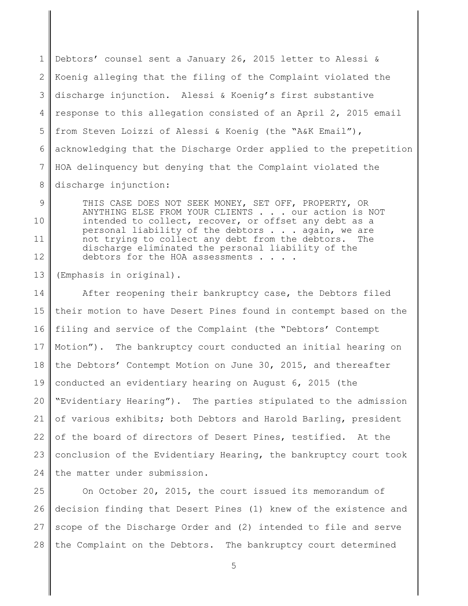1 2 3 4 5 6 7 8 Debtors' counsel sent a January 26, 2015 letter to Alessi & Koenig alleging that the filing of the Complaint violated the discharge injunction. Alessi & Koenig's first substantive response to this allegation consisted of an April 2, 2015 email from Steven Loizzi of Alessi & Koenig (the "A&K Email"), acknowledging that the Discharge Order applied to the prepetition HOA delinquency but denying that the Complaint violated the discharge injunction:

9 10 11 12 THIS CASE DOES NOT SEEK MONEY, SET OFF, PROPERTY, OR ANYTHING ELSE FROM YOUR CLIENTS . . . our action is NOT intended to collect, recover, or offset any debt as a personal liability of the debtors  $\ldots$  again, we are not trying to collect any debt from the debtors. The not trying to collect any debt from the debtors. discharge eliminated the personal liability of the debtors for the HOA assessments . . .

13 (Emphasis in original).

14 15 16 17 18 19 20 21 22 23 24 After reopening their bankruptcy case, the Debtors filed their motion to have Desert Pines found in contempt based on the filing and service of the Complaint (the "Debtors' Contempt Motion"). The bankruptcy court conducted an initial hearing on the Debtors' Contempt Motion on June 30, 2015, and thereafter conducted an evidentiary hearing on August 6, 2015 (the "Evidentiary Hearing"). The parties stipulated to the admission of various exhibits; both Debtors and Harold Barling, president of the board of directors of Desert Pines, testified. At the conclusion of the Evidentiary Hearing, the bankruptcy court took the matter under submission.

25 26 27 28 On October 20, 2015, the court issued its memorandum of decision finding that Desert Pines (1) knew of the existence and scope of the Discharge Order and (2) intended to file and serve the Complaint on the Debtors. The bankruptcy court determined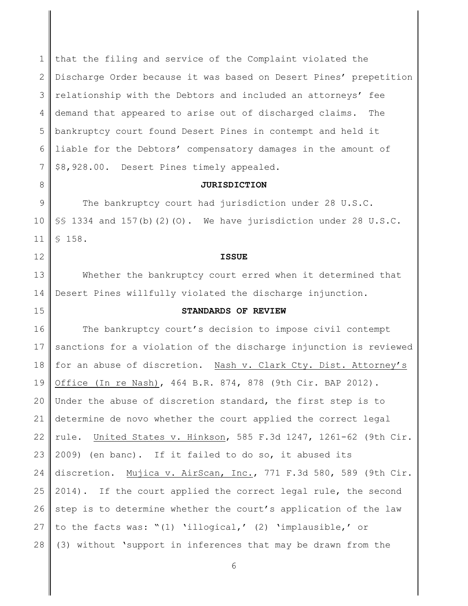1 2 3 4 5 6 7 that the filing and service of the Complaint violated the Discharge Order because it was based on Desert Pines' prepetition relationship with the Debtors and included an attorneys' fee demand that appeared to arise out of discharged claims. The bankruptcy court found Desert Pines in contempt and held it liable for the Debtors' compensatory damages in the amount of \$8,928.00. Desert Pines timely appealed.

### **JURISDICTION**

9 10 11 The bankruptcy court had jurisdiction under 28 U.S.C. §§ 1334 and 157(b)(2)(O). We have jurisdiction under 28 U.S.C. § 158.

**ISSUE**

13 14 Whether the bankruptcy court erred when it determined that Desert Pines willfully violated the discharge injunction.

### 15

12

8

### **STANDARDS OF REVIEW**

16 17 18 19 20 21 22 23 24 25 26 27 28 The bankruptcy court's decision to impose civil contempt sanctions for a violation of the discharge injunction is reviewed for an abuse of discretion. Nash v. Clark Cty. Dist. Attorney's Office (In re Nash), 464 B.R. 874, 878 (9th Cir. BAP 2012). Under the abuse of discretion standard, the first step is to determine de novo whether the court applied the correct legal rule. United States v. Hinkson, 585 F.3d 1247, 1261-62 (9th Cir. 2009) (en banc). If it failed to do so, it abused its discretion. Mujica v. AirScan, Inc., 771 F.3d 580, 589 (9th Cir. 2014). If the court applied the correct legal rule, the second step is to determine whether the court's application of the law to the facts was: "(1) 'illogical,' (2) 'implausible,' or (3) without 'support in inferences that may be drawn from the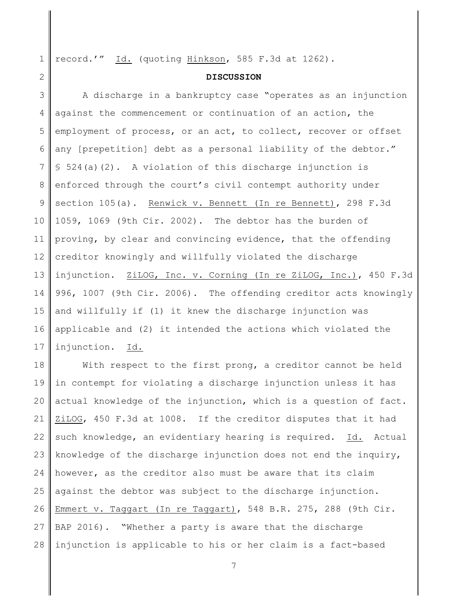1 record.'" Id. (quoting Hinkson, 585 F.3d at 1262).

2

### **DISCUSSION**

3 4 5 6 7 8 9 10 11 12 13 14 15 16 17 A discharge in a bankruptcy case "operates as an injunction against the commencement or continuation of an action, the employment of process, or an act, to collect, recover or offset any [prepetition] debt as a personal liability of the debtor." § 524(a)(2). A violation of this discharge injunction is enforced through the court's civil contempt authority under section 105(a). Renwick v. Bennett (In re Bennett), 298 F.3d 1059, 1069 (9th Cir. 2002). The debtor has the burden of proving, by clear and convincing evidence, that the offending creditor knowingly and willfully violated the discharge injunction. ZiLOG, Inc. v. Corning (In re ZiLOG, Inc.), 450 F.3d 996, 1007 (9th Cir. 2006). The offending creditor acts knowingly and willfully if (1) it knew the discharge injunction was applicable and (2) it intended the actions which violated the injunction. Id.

18 19 20 21 22 23 24 25 26 27 28 With respect to the first prong, a creditor cannot be held in contempt for violating a discharge injunction unless it has actual knowledge of the injunction, which is a question of fact. ZiLOG, 450 F.3d at 1008. If the creditor disputes that it had such knowledge, an evidentiary hearing is required. Id. Actual knowledge of the discharge injunction does not end the inquiry, however, as the creditor also must be aware that its claim against the debtor was subject to the discharge injunction. Emmert v. Taggart (In re Taggart), 548 B.R. 275, 288 (9th Cir. BAP 2016). "Whether a party is aware that the discharge injunction is applicable to his or her claim is a fact-based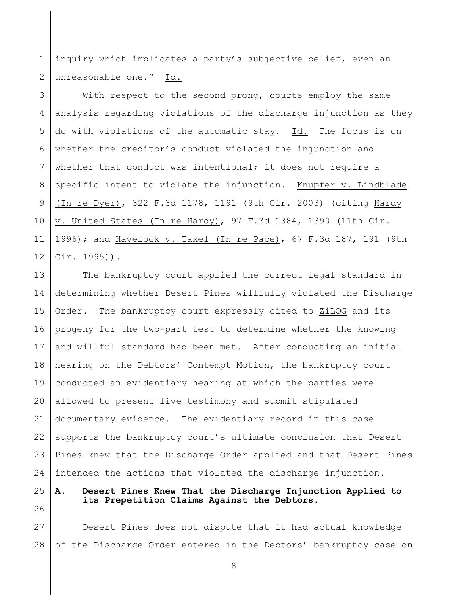1 2 inquiry which implicates a party's subjective belief, even an unreasonable one." Id.

3 4 5 6 7 8 9 10 11 12 With respect to the second prong, courts employ the same analysis regarding violations of the discharge injunction as they do with violations of the automatic stay. Id. The focus is on whether the creditor's conduct violated the injunction and whether that conduct was intentional; it does not require a specific intent to violate the injunction. Knupfer v. Lindblade (In re Dyer), 322 F.3d 1178, 1191 (9th Cir. 2003) (citing Hardy v. United States (In re Hardy), 97 F.3d 1384, 1390 (11th Cir. 1996); and Havelock v. Taxel (In re Pace), 67 F.3d 187, 191 (9th Cir. 1995)).

13 14 15 16 17 18 19 20 21 22 23 24 The bankruptcy court applied the correct legal standard in determining whether Desert Pines willfully violated the Discharge Order. The bankruptcy court expressly cited to ZiLOG and its progeny for the two-part test to determine whether the knowing and willful standard had been met. After conducting an initial hearing on the Debtors' Contempt Motion, the bankruptcy court conducted an evidentiary hearing at which the parties were allowed to present live testimony and submit stipulated documentary evidence. The evidentiary record in this case supports the bankruptcy court's ultimate conclusion that Desert Pines knew that the Discharge Order applied and that Desert Pines intended the actions that violated the discharge injunction.

25

## **A. Desert Pines Knew That the Discharge Injunction Applied to its Prepetition Claims Against the Debtors.**

26

27 28 Desert Pines does not dispute that it had actual knowledge of the Discharge Order entered in the Debtors' bankruptcy case on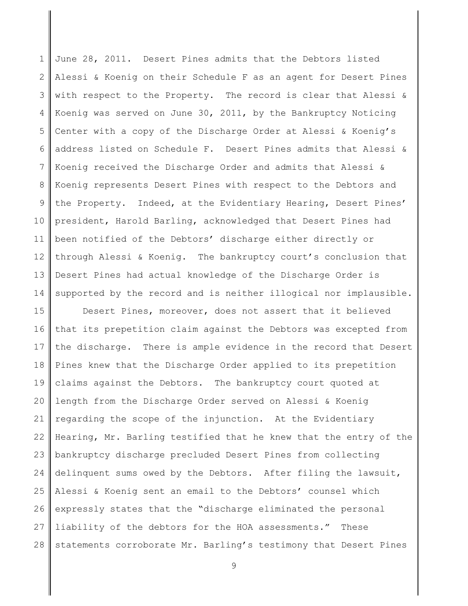1 2 3 4 5 6 7 8 9 10 11 12 13 14 June 28, 2011. Desert Pines admits that the Debtors listed Alessi & Koenig on their Schedule F as an agent for Desert Pines with respect to the Property. The record is clear that Alessi & Koenig was served on June 30, 2011, by the Bankruptcy Noticing Center with a copy of the Discharge Order at Alessi & Koenig's address listed on Schedule F. Desert Pines admits that Alessi & Koenig received the Discharge Order and admits that Alessi & Koenig represents Desert Pines with respect to the Debtors and the Property. Indeed, at the Evidentiary Hearing, Desert Pines' president, Harold Barling, acknowledged that Desert Pines had been notified of the Debtors' discharge either directly or through Alessi & Koenig. The bankruptcy court's conclusion that Desert Pines had actual knowledge of the Discharge Order is supported by the record and is neither illogical nor implausible.

15 16 17 18 19 20 21 22 23 24 25 26 27 28 Desert Pines, moreover, does not assert that it believed that its prepetition claim against the Debtors was excepted from the discharge. There is ample evidence in the record that Desert Pines knew that the Discharge Order applied to its prepetition claims against the Debtors. The bankruptcy court quoted at length from the Discharge Order served on Alessi & Koenig regarding the scope of the injunction. At the Evidentiary Hearing, Mr. Barling testified that he knew that the entry of the bankruptcy discharge precluded Desert Pines from collecting delinquent sums owed by the Debtors. After filing the lawsuit, Alessi & Koenig sent an email to the Debtors' counsel which expressly states that the "discharge eliminated the personal liability of the debtors for the HOA assessments." These statements corroborate Mr. Barling's testimony that Desert Pines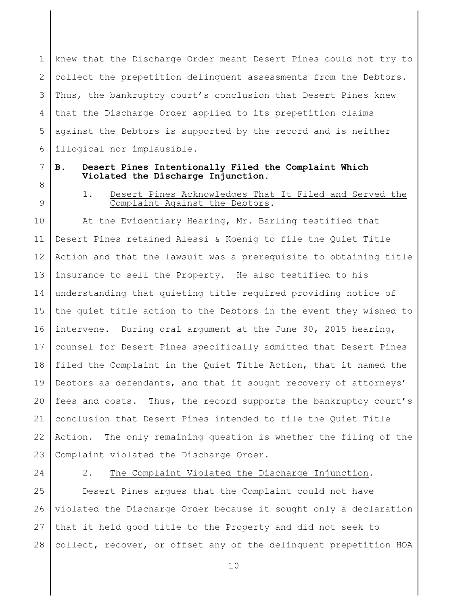1 2 3 4 5 6 knew that the Discharge Order meant Desert Pines could not try to collect the prepetition delinquent assessments from the Debtors. Thus, the bankruptcy court's conclusion that Desert Pines knew that the Discharge Order applied to its prepetition claims against the Debtors is supported by the record and is neither illogical nor implausible.

7

## **B. Desert Pines Intentionally Filed the Complaint Which Violated the Discharge Injunction.**

8 9

# 1. Desert Pines Acknowledges That It Filed and Served the Complaint Against the Debtors.

10 11 12 13 14 15 16 17 18 19 20 21 22 23 At the Evidentiary Hearing, Mr. Barling testified that Desert Pines retained Alessi & Koenig to file the Quiet Title Action and that the lawsuit was a prerequisite to obtaining title insurance to sell the Property. He also testified to his understanding that quieting title required providing notice of the quiet title action to the Debtors in the event they wished to intervene. During oral argument at the June 30, 2015 hearing, counsel for Desert Pines specifically admitted that Desert Pines filed the Complaint in the Quiet Title Action, that it named the Debtors as defendants, and that it sought recovery of attorneys' fees and costs. Thus, the record supports the bankruptcy court's conclusion that Desert Pines intended to file the Quiet Title Action. The only remaining question is whether the filing of the Complaint violated the Discharge Order.

24

# 2. The Complaint Violated the Discharge Injunction.

25 26 27 28 Desert Pines argues that the Complaint could not have violated the Discharge Order because it sought only a declaration that it held good title to the Property and did not seek to collect, recover, or offset any of the delinquent prepetition HOA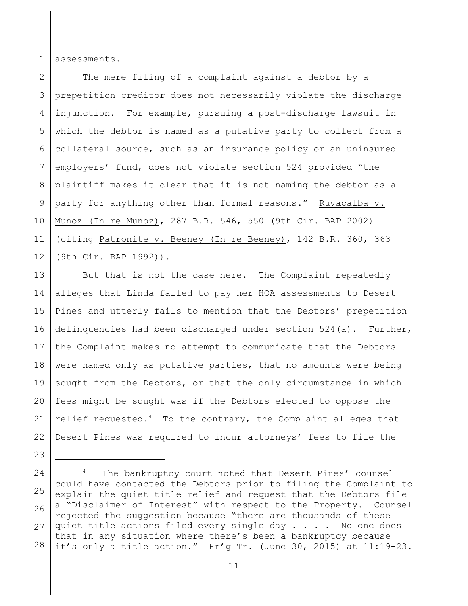1 assessments.

23

2 3 4 5 6 7 8 9 10 11 12 The mere filing of a complaint against a debtor by a prepetition creditor does not necessarily violate the discharge injunction. For example, pursuing a post-discharge lawsuit in which the debtor is named as a putative party to collect from a collateral source, such as an insurance policy or an uninsured employers' fund, does not violate section 524 provided "the plaintiff makes it clear that it is not naming the debtor as a party for anything other than formal reasons." Ruvacalba v. Munoz (In re Munoz), 287 B.R. 546, 550 (9th Cir. BAP 2002) (citing Patronite v. Beeney (In re Beeney), 142 B.R. 360, 363 (9th Cir. BAP 1992)).

13 14 15 16 17 18 19 20 21 22 But that is not the case here. The Complaint repeatedly alleges that Linda failed to pay her HOA assessments to Desert Pines and utterly fails to mention that the Debtors' prepetition delinquencies had been discharged under section 524(a). Further, the Complaint makes no attempt to communicate that the Debtors were named only as putative parties, that no amounts were being sought from the Debtors, or that the only circumstance in which fees might be sought was if the Debtors elected to oppose the relief requested. $4$  To the contrary, the Complaint alleges that Desert Pines was required to incur attorneys' fees to file the

<sup>24</sup> 25 26 27 28 The bankruptcy court noted that Desert Pines' counsel could have contacted the Debtors prior to filing the Complaint to explain the quiet title relief and request that the Debtors file a "Disclaimer of Interest" with respect to the Property. Counsel rejected the suggestion because "there are thousands of these quiet title actions filed every single day . . . . No one does that in any situation where there's been a bankruptcy because it's only a title action." Hr'g Tr. (June 30, 2015) at 11:19-23.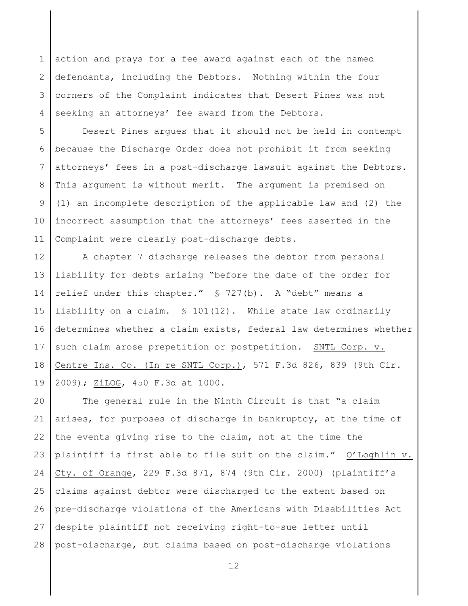1 2 3 4 action and prays for a fee award against each of the named defendants, including the Debtors. Nothing within the four corners of the Complaint indicates that Desert Pines was not seeking an attorneys' fee award from the Debtors.

5 6 7 8 9 10 11 Desert Pines argues that it should not be held in contempt because the Discharge Order does not prohibit it from seeking attorneys' fees in a post-discharge lawsuit against the Debtors. This argument is without merit. The argument is premised on (1) an incomplete description of the applicable law and (2) the incorrect assumption that the attorneys' fees asserted in the Complaint were clearly post-discharge debts.

12 13 14 15 16 17 18 19 A chapter 7 discharge releases the debtor from personal liability for debts arising "before the date of the order for relief under this chapter." § 727(b). A "debt" means a liability on a claim. § 101(12). While state law ordinarily determines whether a claim exists, federal law determines whether such claim arose prepetition or postpetition. SNTL Corp. v. Centre Ins. Co. (In re SNTL Corp.), 571 F.3d 826, 839 (9th Cir. 2009); ZiLOG, 450 F.3d at 1000.

20 21 22 23 24 25 26 27 28 The general rule in the Ninth Circuit is that "a claim arises, for purposes of discharge in bankruptcy, at the time of the events giving rise to the claim, not at the time the plaintiff is first able to file suit on the claim." O'Loghlin v. Cty. of Orange, 229 F.3d 871, 874 (9th Cir. 2000) (plaintiff's claims against debtor were discharged to the extent based on pre-discharge violations of the Americans with Disabilities Act despite plaintiff not receiving right-to-sue letter until post-discharge, but claims based on post-discharge violations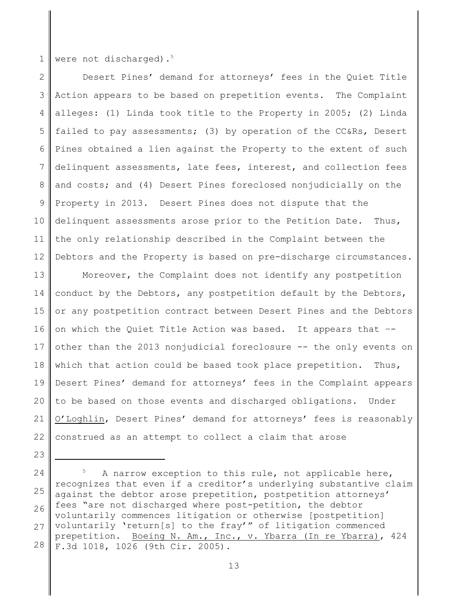1 were not discharged).<sup>5</sup>

23

2 3 4 5 6 7 8 9 10 11 12 Desert Pines' demand for attorneys' fees in the Quiet Title Action appears to be based on prepetition events. The Complaint alleges: (1) Linda took title to the Property in 2005; (2) Linda failed to pay assessments; (3) by operation of the CC&Rs, Desert Pines obtained a lien against the Property to the extent of such delinquent assessments, late fees, interest, and collection fees and costs; and (4) Desert Pines foreclosed nonjudicially on the Property in 2013. Desert Pines does not dispute that the delinquent assessments arose prior to the Petition Date. Thus, the only relationship described in the Complaint between the Debtors and the Property is based on pre-discharge circumstances.

13 14 15 16 17 18 19 20 21 22 Moreover, the Complaint does not identify any postpetition conduct by the Debtors, any postpetition default by the Debtors, or any postpetition contract between Desert Pines and the Debtors on which the Quiet Title Action was based. It appears that – other than the 2013 nonjudicial foreclosure -- the only events on which that action could be based took place prepetition. Thus, Desert Pines' demand for attorneys' fees in the Complaint appears to be based on those events and discharged obligations. Under O'Loghlin, Desert Pines' demand for attorneys' fees is reasonably construed as an attempt to collect a claim that arose

<sup>24</sup> 25 26 27 28 A narrow exception to this rule, not applicable here, recognizes that even if a creditor's underlying substantive claim against the debtor arose prepetition, postpetition attorneys' fees "are not discharged where post-petition, the debtor voluntarily commences litigation or otherwise [postpetition] voluntarily 'return[s] to the fray'" of litigation commenced prepetition. Boeing N. Am., Inc., v. Ybarra (In re Ybarra), 424 F.3d 1018, 1026 (9th Cir. 2005).